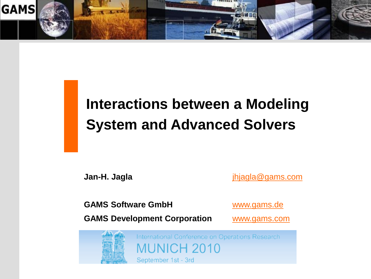

# **Interactions between a Modeling System and Advanced Solvers**

**Jan-H. Jagla** [jhjagla@gams.com](mailto:jhjagla@gams.com)

GAMS Software GmbH [www.gams.de](http://www.gams.de/)

**GAMS Development Corporation [www.gams.com](http://www.gams.com/)** 



International Conference on Operations Research MUNICH 2010

September 1st - 3rd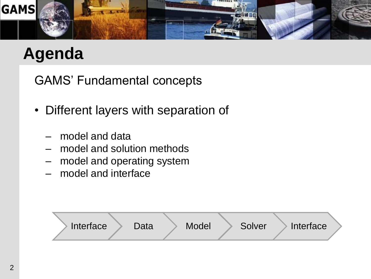

## **Agenda**

GAMS" Fundamental concepts

- Different layers with separation of
	- model and data
	- model and solution methods
	- model and operating system
	- model and interface

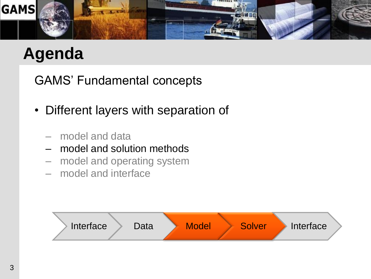

## **Agenda**

GAMS" Fundamental concepts

- Different layers with separation of
	- model and data
	- model and solution methods
	- model and operating system
	- model and interface

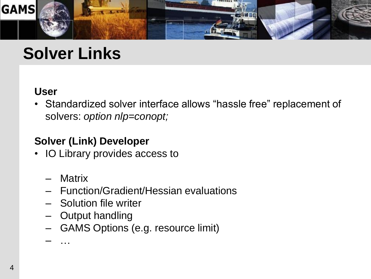

### **Solver Links**

#### **User**

• Standardized solver interface allows "hassle free" replacement of solvers: *option nlp=conopt;*

#### **Solver (Link) Developer**

- IO Library provides access to
	- Matrix
	- Function/Gradient/Hessian evaluations
	- Solution file writer
	- Output handling
	- GAMS Options (e.g. resource limit)

– …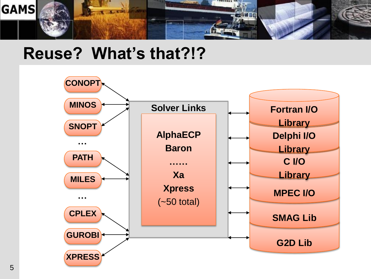

### **Reuse? What's that?!?**

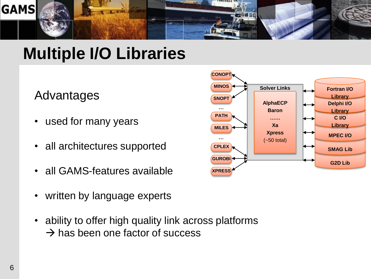

### **Multiple I/O Libraries**

### Advantages

- used for many years
- all architectures supported
- all GAMS-features available
- written by language experts
- ability to offer high quality link across platforms  $\rightarrow$  has been one factor of success

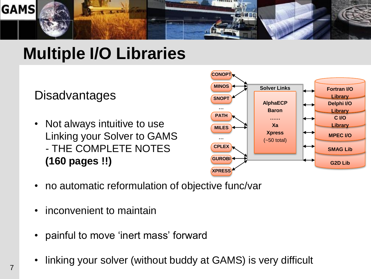

### **Multiple I/O Libraries**

### **Disadvantages**

• Not always intuitive to use Linking your Solver to GAMS - THE COMPLETE NOTES **(160 pages !!)**



- no automatic reformulation of objective func/var
- inconvenient to maintain
- painful to move 'inert mass' forward
- linking your solver (without buddy at GAMS) is very difficult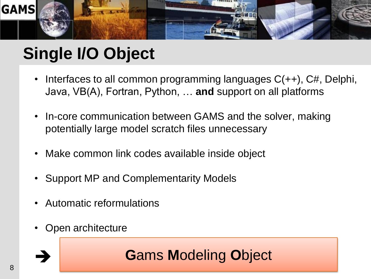

# **Single I/O Object**

- Interfaces to all common programming languages  $C(++)$ ,  $C#$ , Delphi, Java, VB(A), Fortran, Python, … **and** support on all platforms
- In-core communication between GAMS and the solver, making potentially large model scratch files unnecessary
- Make common link codes available inside object
- Support MP and Complementarity Models
- Automatic reformulations
- Open architecture

### **G**ams **M**odeling **O**bject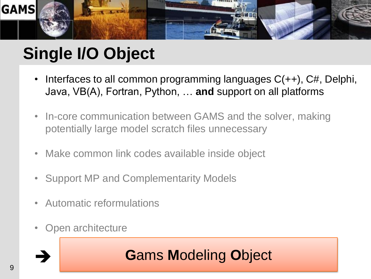

# **Single I/O Object**

- Interfaces to all common programming languages  $C(++)$ ,  $C#$ , Delphi, Java, VB(A), Fortran, Python, … **and** support on all platforms
- In-core communication between GAMS and the solver, making potentially large model scratch files unnecessary
- Make common link codes available inside object
- Support MP and Complementarity Models
- Automatic reformulations
- Open architecture

### **G**ams **M**odeling **O**bject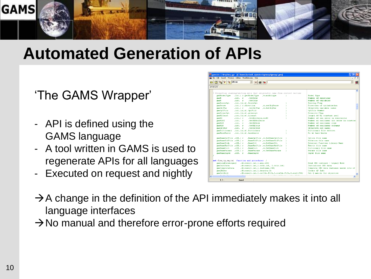

### **Automated Generation of APIs**

#### 'The GAMS Wrapper'

- API is defined using the GAMS language
- A tool written in GAMS is used to regenerate APIs for all languages
- Executed on request and nightly

| <b>PE gamside: C:\tmp\tmp.gpr - [C:\home\Jan\vs8_alpha\src\apiwrap\gmoapi.gms]</b>           |                                           |  |  |  |
|----------------------------------------------------------------------------------------------|-------------------------------------------|--|--|--|
| IDE File Edit Search Windows Utilities Model Libraries Help                                  |                                           |  |  |  |
| $\sim$ mkcop<br>$\mathbf{E}$<br>$\mathbf{V}_{\text{eff}}$<br>$\blacksquare$<br>$\{a\}$<br>64 | $\overline{\phantom{a}}$<br><b>bl</b>     |  |  |  |
| gmoapi.gms                                                                                   |                                           |  |  |  |
| * Properties reading/writing data that originally came from control vectors                  | $\hat{\phantom{a}}$                       |  |  |  |
| cmoModelTvpe<br>.int. ( r. aetHodelTvpe , w. modeltvpe<br>$\Delta$                           | Model Type                                |  |  |  |
| .GetRows<br>cano II<br>$int.$ $r$                                                            | Number of equations                       |  |  |  |
| . GetC <sub>0</sub> 1 <sub>5</sub><br>cmoN<br>Hint. For                                      | Number of variables                       |  |  |  |
| cmoScaleOpt<br>(int, (tr, w).ScaleOpt                                                        | Scaling Flag                              |  |  |  |
| cmoSense<br>.v.setObiSense<br>.int. ( r.direction                                            | Direction of optimization                 |  |  |  |
| .GetObiVar .w.SetObiVar<br>cmoObiVar<br>(int, t, r)                                          | Objective variable index                  |  |  |  |
| cmoOptFile<br>(int.((r, w).OptFile                                                           | Ontfile Number                            |  |  |  |
| cmoPriorOpt<br>$(int.((r, w).$ prioropt                                                      | Priority Flag                             |  |  |  |
| qmoNLConst<br>(int.((r, w).niconst                                                           | length of NL constant pool                |  |  |  |
| .GetNonZeros.w.NZ<br>cmoNZ<br>$\int$ . int. $\int$ r                                         | Number of non zeros in contraints         |  |  |  |
| .GetNLNonZeros<br>cmoNLNZ<br>$int.$ $r$                                                      | Number on nonlinear non zeros in constrai |  |  |  |
| cmoNLN<br>.GetNLRows<br>$int.$ $r$                                                           | Number of nonlinear rows                  |  |  |  |
| .GetNLCn1s<br>cmoNLN<br>$int.$ $r$                                                           | Number of nonlinear columns.              |  |  |  |
| gmoObjRow<br>.GetObiRow<br>$int.$ $r$                                                        | Objective row index                       |  |  |  |
| cmoDictionary .int. ((r.w). Dictionary                                                       | Dictionary file written                   |  |  |  |
| .int. ((r.w).havebasis<br>cmoHaveBasis                                                       | Do we have basis                          |  |  |  |
| cmoNameOptFile .oSS.(r<br>.NameOptFile .w.SetNameOptfile                                     | Option file name                          |  |  |  |
| .NameSolFile .u.SetNameSolFile<br>cmoNameSolFile .oSS.(r<br>n.                               | Solution file name                        |  |  |  |
| cmoNameXLib<br>$.$ Name $D11$<br>.u.SetNameDLL<br>.055.1.5                                   | External Function Library Name            |  |  |  |
| cmoNameMatFile .oSS.(r<br>.NameMatFile , w.SetNameMatFile                                    | Matrix file name                          |  |  |  |
| .u.SetNameDict<br>cmoNameDict<br>.055.0r<br>.NameDict                                        | Dictionary file name                      |  |  |  |
| cmoNameParams . oSS. (r<br>.NameParams .v.SetNameParams<br>n                                 | Params file name                          |  |  |  |
| cmoNameInput<br>.055. r<br>.NameInput                                                        | Input file name                           |  |  |  |
| set f(en, tp, ea, ta) function and procedures /                                              |                                           |  |  |  |
| cmoLoadDataLegacv<br>$(0.\texttt{result.int}, 1.\texttt{msg.osS})$                           | Read GMO instance - Legacy Mode           |  |  |  |
| cmoInitData<br>. (0. result.int. 1. rows.int, 2. cols.int)                                   | Initializes GMO data                      |  |  |  |
| cmoCompleteData<br>. (0. result.int. 1. instname. CSS)                                       | Complete GMO data instance needs lots of  |  |  |  |
| cmoOMaker<br>. (0. result.int. 1. density. D)                                                | Create OP Info.                           |  |  |  |
| . (0. result.int. 1. colldx. PLIA. 2. rowIdx. PLIA. 3. coef. PDA)<br>cmodetObid              | Get Q matrix for objective                |  |  |  |
|                                                                                              |                                           |  |  |  |
| $\left\langle \right\rangle$<br>1.1                                                          | $\rightarrow$                             |  |  |  |

- $\rightarrow$  A change in the definition of the API immediately makes it into all language interfaces
- $\rightarrow$  No manual and therefore error-prone efforts required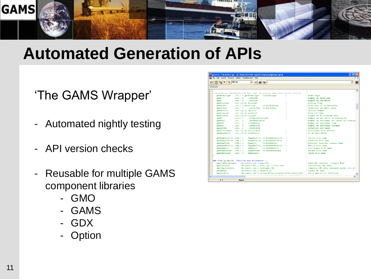

### **Automated Generation of APIs**

#### 'The GAMS Wrapper'

- Automated nightly testing
- API version checks
- Reusable for multiple GAMS component libraries
	- GMO
	- GAMS
	- GDX
	- Option

| <b>PE</b> gamside: C:\tmp\tmp.gpr - [C:\home\Jan\vs8_alpha\src\apiwrap\gmoapi.gms]                           |                                                                                                     |  |  |
|--------------------------------------------------------------------------------------------------------------|-----------------------------------------------------------------------------------------------------|--|--|
| IDE File Edit Search Windows Utilities Model Libraries Help                                                  |                                                                                                     |  |  |
| $\mathbf{V}_{\mathbf{c}}$<br><mark>❤</mark> mkcop<br>周<br>$\blacksquare$ (a)<br>$\bigoplus$ $\bigoplus$<br>☞ | 龈<br>$\blacktriangleright$                                                                          |  |  |
| gmoapi.gms                                                                                                   |                                                                                                     |  |  |
| * Properties reading/writing data that originally came from control vectors                                  |                                                                                                     |  |  |
| gmoModelType .int.(r.getModelType , w.modeltype                                                              | Model Type                                                                                          |  |  |
| $time = r$<br>.GetRows<br>cano II                                                                            | Number of equations                                                                                 |  |  |
| $. GetC 0 1 \pi$<br>casoN<br>int. r                                                                          | Number of variables                                                                                 |  |  |
| cmoScaleOpt<br>(int, (tr, w).ScaleOpt                                                                        | Scaling Flag                                                                                        |  |  |
| cmoSense<br>.int. ( r.direction<br>.v.setObiSense                                                            | Direction of optimization                                                                           |  |  |
| cmoObiVar<br>.int.(r .GetObiVar .w.SetObiVar                                                                 | Objective variable index                                                                            |  |  |
| cmoOptFile<br>(int.((r, w).OptFile                                                                           | Ontfile Number                                                                                      |  |  |
| cmoPriorOpt<br>$(int.((r, w).$ prioropt                                                                      | Priority Flag                                                                                       |  |  |
| cmoNLConst<br>. int. $((r, v)$ . nlconst                                                                     | length of NL constant pool                                                                          |  |  |
| cmoNZ<br>.int. ( r .GetNonZeros, w.NZ                                                                        | Number of non zeros in contraints                                                                   |  |  |
| cmoNLN2<br>USBN P.C.<br>.GetNLNonZeros                                                                       | Number on nonlinear non zeros in constrai                                                           |  |  |
| $int.$ $r$<br>.GetNLRows<br>cmoNLN                                                                           | Number of nonlinear rows                                                                            |  |  |
| cmoNLN<br>.GetNLCols<br>$int.$ $r$                                                                           | Number of nonlinear columns                                                                         |  |  |
| amo Ob 1 Row<br>.int. r .GetObiRow                                                                           | Objective row index                                                                                 |  |  |
| cmoDictionary .int. ((r.w). Dictionary                                                                       | Dictionary file written                                                                             |  |  |
| cmoHaveBasis .int. ((r.w).havebasis                                                                          | Do we have basis                                                                                    |  |  |
| cmoNameOptFile .oSS.(r<br>.NameOptFile .w.SetNameOptfile                                                     | Ontion file name                                                                                    |  |  |
| cmoNameSolFile .oSS.(r<br>.NameSolFile .w.SetNameSolFile                                                     | Solution file name                                                                                  |  |  |
| cmoNameXLib<br>.055.0E<br>$.$ Name $D11$<br>.u.SetNameDLL                                                    | External Function Library Name                                                                      |  |  |
| cmoNameMatFile .oSS.(r<br>.NameMatFile , w.SetNameMatFile                                                    | Matrix file name                                                                                    |  |  |
| .u.SetNameDict<br>cmoNameDict<br>.035.1 <sub>Y</sub><br>.NameDict                                            | Dictionary file name                                                                                |  |  |
| .NameParams .v.SetNameParams<br>qmoNameParams . oSS. (r                                                      | Params file name                                                                                    |  |  |
| cmoNameInput .0SS. r<br>.NameInput                                                                           | Input file name                                                                                     |  |  |
|                                                                                                              |                                                                                                     |  |  |
| set f(en, tp, ea, ta) function and procedures /<br>(0, result, int, 1, max, 0.05)<br>cmoLoadDataLecacv       | Read GMO instance - Legacy Mode<br>Initializes GMO data<br>Complete GMO data instance needs lots of |  |  |
| cmoInitData<br>. (0. result.int. 1. rows.int, 2. cols.int)                                                   |                                                                                                     |  |  |
| cmoCompleteData<br>. (0. result.int.1. instname. CSS)                                                        |                                                                                                     |  |  |
| cmoONaker<br>. (0. result.int. 1. density. D)                                                                | Create OP Info.                                                                                     |  |  |
| . (0. result. int. 1. colldx. PLIA. 2. rowldx. PLIA. 3. coef. PDA)<br>$cmod$ $et 0b 10$                      | Get Q matrix for objective                                                                          |  |  |
|                                                                                                              |                                                                                                     |  |  |
| $\blacktriangleleft$                                                                                         | $\rightarrow$                                                                                       |  |  |
| 1:1<br>Insert                                                                                                |                                                                                                     |  |  |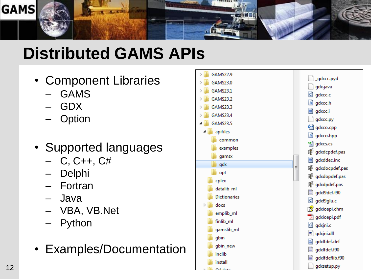

# **Distributed GAMS APIs**

- Component Libraries
	- GAMS
	- GDX
	- **Option**
- Supported languages
	- $C, C_{++}, C_{+}$
	- Delphi
	- Fortran
	- Java
	- VBA, VB.Net
	- **Python**
- Examples/Documentation

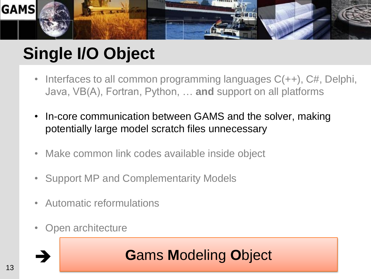

# **Single I/O Object**

- Interfaces to all common programming languages  $C(++)$ ,  $C#$ , Delphi, Java, VB(A), Fortran, Python, … **and** support on all platforms
- In-core communication between GAMS and the solver, making potentially large model scratch files unnecessary
- Make common link codes available inside object
- Support MP and Complementarity Models
- Automatic reformulations
- Open architecture

### **G**ams **M**odeling **O**bject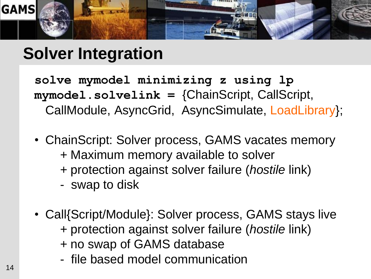

### **Solver Integration**

**solve mymodel minimizing z using lp mymodel.solvelink =** {ChainScript, CallScript, CallModule, AsyncGrid, AsyncSimulate, LoadLibrary};

- ChainScript: Solver process, GAMS vacates memory + Maximum memory available to solver + protection against solver failure (*hostile* link)
	- swap to disk
- Call{Script/Module}: Solver process, GAMS stays live + protection against solver failure (*hostile* link) + no swap of GAMS database
	- file based model communication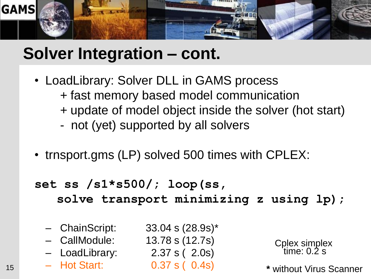

### **Solver Integration – cont.**

- LoadLibrary: Solver DLL in GAMS process + fast memory based model communication + update of model object inside the solver (hot start)
	- not (yet) supported by all solvers
- trnsport.gms (LP) solved 500 times with CPLEX:

```
set ss /s1*s500/; loop(ss,
solve transport minimizing z using lp);
```
- ChainScript: 33.04 s (28.9s)\*
- CallModule: 13.78 s (12.7s)
- LoadLibrary: 2.37 s ( 2.0s)
- Hot Start: 0.37 s ( 0.4s) 15 **\*** without Virus Scanner

Cplex simplex time: 0.2 s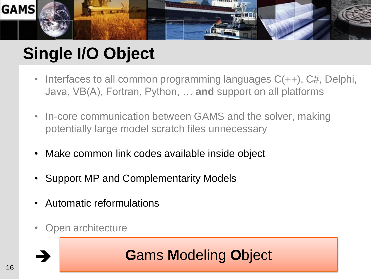

# **Single I/O Object**

- Interfaces to all common programming languages  $C(++)$ ,  $C#$ , Delphi, Java, VB(A), Fortran, Python, … **and** support on all platforms
- In-core communication between GAMS and the solver, making potentially large model scratch files unnecessary
- Make common link codes available inside object
- Support MP and Complementarity Models
- Automatic reformulations
- Open architecture

### **G**ams **M**odeling **O**bject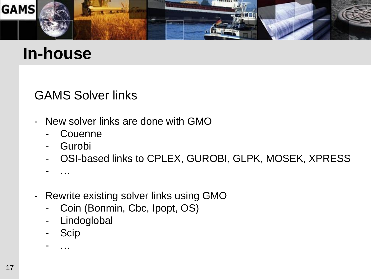

### **In-house**

### GAMS Solver links

- New solver links are done with GMO
	- **Couenne**
	- Gurobi
	- OSI-based links to CPLEX, GUROBI, GLPK, MOSEK, XPRESS
	- …
- Rewrite existing solver links using GMO
	- Coin (Bonmin, Cbc, Ipopt, OS)
	- Lindoglobal
	- **Scip**

- …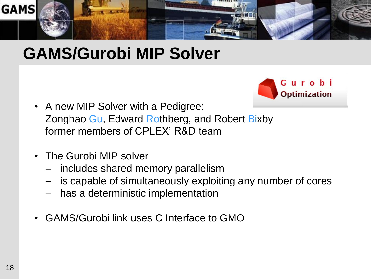

### **GAMS/Gurobi MIP Solver**



- A new MIP Solver with a Pedigree: Zonghao Gu, Edward Rothberg, and Robert Bixby former members of CPLEX' R&D team
- The Gurobi MIP solver
	- includes shared memory parallelism
	- is capable of simultaneously exploiting any number of cores
	- has a deterministic implementation
- GAMS/Gurobi link uses C Interface to GMO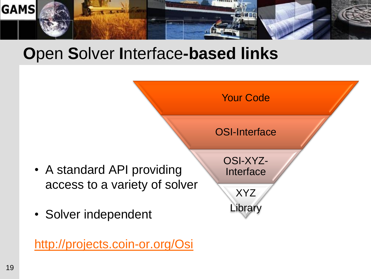

### **O**pen **S**olver **I**nterface**-based links**



<http://projects.coin-or.org/Osi>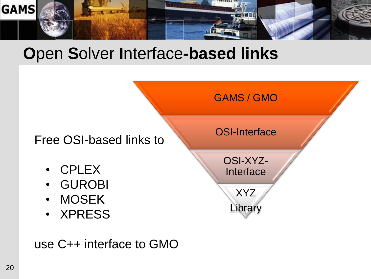

### **O**pen **S**olver **I**nterface**-based links**



use C++ interface to GMO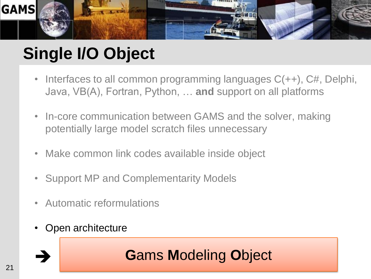

# **Single I/O Object**

- Interfaces to all common programming languages  $C(++)$ ,  $C#$ , Delphi, Java, VB(A), Fortran, Python, … **and** support on all platforms
- In-core communication between GAMS and the solver, making potentially large model scratch files unnecessary
- Make common link codes available inside object
- Support MP and Complementarity Models
- Automatic reformulations
- Open architecture

### **G**ams **M**odeling **O**bject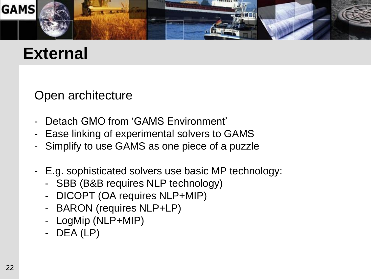

### **External**

Open architecture

- Detach GMO from 'GAMS Environment'
- Ease linking of experimental solvers to GAMS
- Simplify to use GAMS as one piece of a puzzle
- E.g. sophisticated solvers use basic MP technology:
	- SBB (B&B requires NLP technology)
	- DICOPT (OA requires NLP+MIP)
	- BARON (requires NLP+LP)
	- LogMip (NLP+MIP)
	- DEA (LP)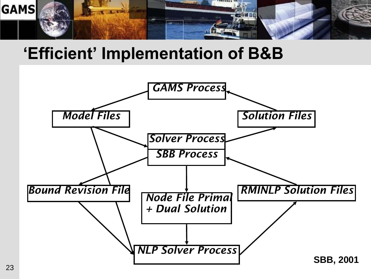

### **'Efficient' Implementation of B&B**

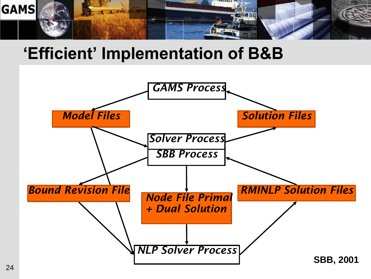

### **'Efficient' Implementation of B&B**

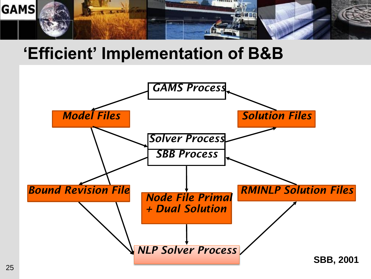

### **'Efficient' Implementation of B&B**

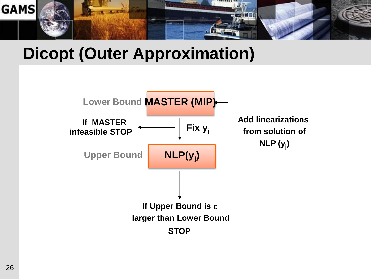

### **Dicopt (Outer Approximation)**

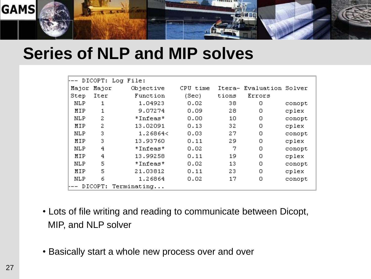

### **Series of NLP and MIP solves**

|       |         | DICOPT: Log File: |          |        |                   |        |
|-------|---------|-------------------|----------|--------|-------------------|--------|
| Major | Major   | Objective         | CPU time | Itera- | Evaluation Solver |        |
| Step  | Iter    | Function          | (Sec)    | tions  | Errors            |        |
| NLP   | 1       | 1.04923           | 0.02     | 38     | ο                 | conopt |
| MIP   | 1       | 9.07274           | 0.09     | 28     | о                 | cplex  |
| NLP   | 2       | *Infeas*          | 0.00     | 10     | о                 | conopt |
| MIP   | 2       | 13.02091          | 0.13     | 32     | 0                 | cplex  |
| NLP   | 3       | 1.26864<          | 0.03     | 27     | о                 | conopt |
| MIP   | 3       | 13.93760          | 0.11     | 29     | ο                 | cplex  |
| NLP   | 4       | *Infeas*          | 0.02     | 7      | о                 | conopt |
| MIP   | 4       | 13.99258          | 0.11     | 19     | ο                 | cplex  |
| NLP   | 5       | *Infeas*          | 0.02     | 13     | о                 | conopt |
| MIP   | 5       | 21.03812          | 0.11     | 23     | ο                 | cplex  |
| NLP   | 6       | 1.26864           | 0.02     | 17     | 0                 | conopt |
|       | DICOPT: | Terminating       |          |        |                   |        |

- Lots of file writing and reading to communicate between Dicopt, MIP, and NLP solver
- Basically start a whole new process over and over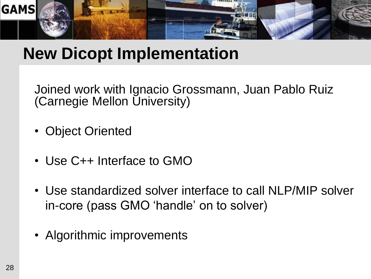

### **New Dicopt Implementation**

Joined work with Ignacio Grossmann, Juan Pablo Ruiz (Carnegie Mellon University)

- Object Oriented
- Use C++ Interface to GMO
- Use standardized solver interface to call NLP/MIP solver in-core (pass GMO "handle" on to solver)
- Algorithmic improvements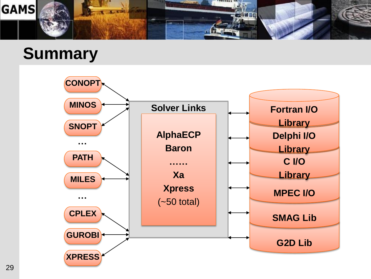

### **Summary**

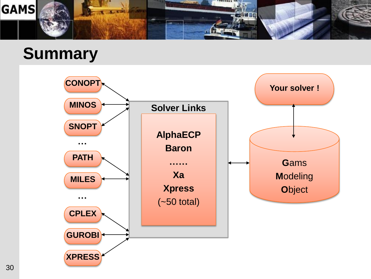

### **Summary**

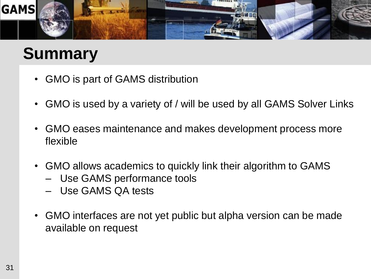

### **Summary**

- GMO is part of GAMS distribution
- GMO is used by a variety of / will be used by all GAMS Solver Links
- GMO eases maintenance and makes development process more flexible
- GMO allows academics to quickly link their algorithm to GAMS
	- Use GAMS performance tools
	- Use GAMS QA tests
- GMO interfaces are not yet public but alpha version can be made available on request